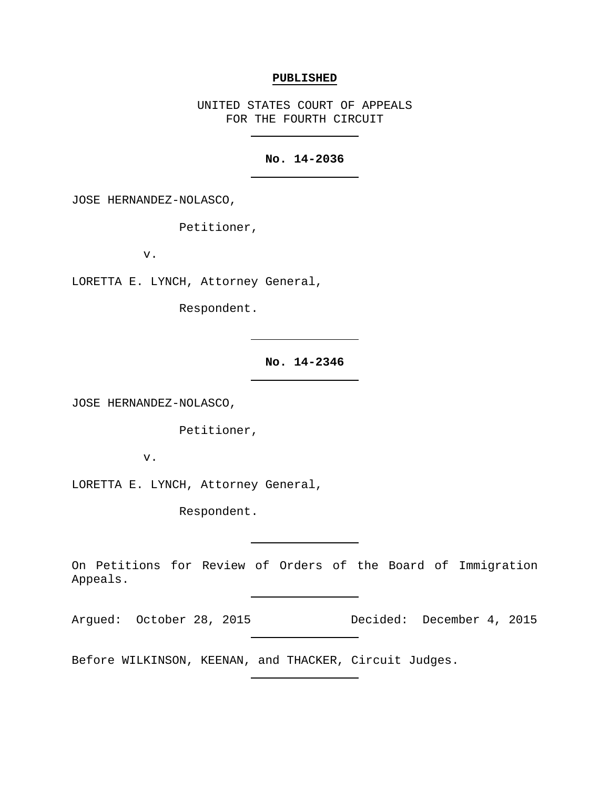### **PUBLISHED**

UNITED STATES COURT OF APPEALS FOR THE FOURTH CIRCUIT

## **No. 14-2036**

JOSE HERNANDEZ-NOLASCO,

Petitioner,

v.

LORETTA E. LYNCH, Attorney General,

Respondent.

**No. 14-2346**

JOSE HERNANDEZ-NOLASCO,

Petitioner,

v.

LORETTA E. LYNCH, Attorney General,

Respondent.

On Petitions for Review of Orders of the Board of Immigration Appeals.

Argued: October 28, 2015 Decided: December 4, 2015

Before WILKINSON, KEENAN, and THACKER, Circuit Judges.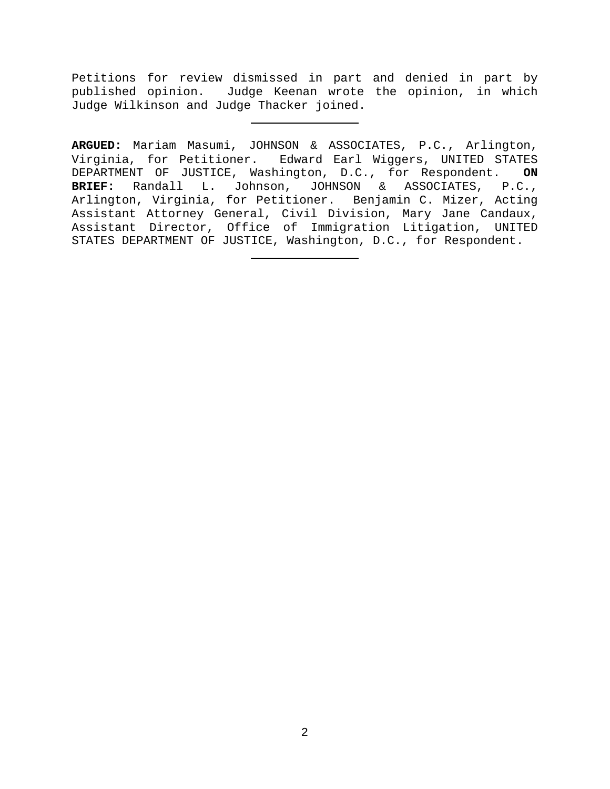Petitions for review dismissed in part and denied in part by published opinion. Judge Keenan wrote the opinion, in which Judge Wilkinson and Judge Thacker joined.

**ARGUED:** Mariam Masumi, JOHNSON & ASSOCIATES, P.C., Arlington, Virginia, for Petitioner. Edward Earl Wiggers, UNITED STATES DEPARTMENT OF JUSTICE, Washington, D.C., for Respondent. **ON BRIEF:** Randall L. Johnson, JOHNSON & ASSOCIATES, P.C., Arlington, Virginia, for Petitioner. Benjamin C. Mizer, Acting Assistant Attorney General, Civil Division, Mary Jane Candaux, Assistant Director, Office of Immigration Litigation, UNITED STATES DEPARTMENT OF JUSTICE, Washington, D.C., for Respondent.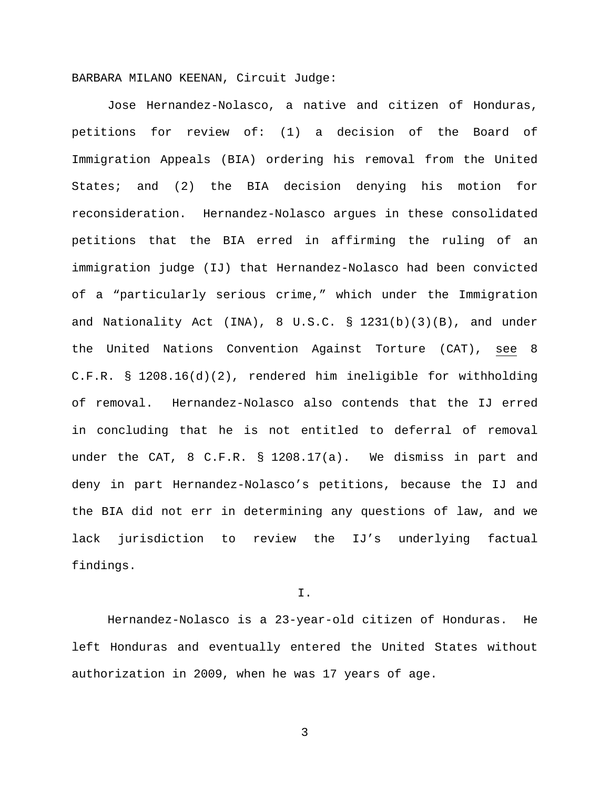BARBARA MILANO KEENAN, Circuit Judge:

Jose Hernandez-Nolasco, a native and citizen of Honduras, petitions for review of: (1) a decision of the Board of Immigration Appeals (BIA) ordering his removal from the United States; and (2) the BIA decision denying his motion for reconsideration. Hernandez-Nolasco argues in these consolidated petitions that the BIA erred in affirming the ruling of an immigration judge (IJ) that Hernandez-Nolasco had been convicted of a "particularly serious crime," which under the Immigration and Nationality Act (INA),  $8 \text{ U.S.C. } \text{S}$  1231(b)(3)(B), and under the United Nations Convention Against Torture (CAT), see 8 C.F.R. § 1208.16(d)(2), rendered him ineligible for withholding of removal. Hernandez-Nolasco also contends that the IJ erred in concluding that he is not entitled to deferral of removal under the CAT, 8 C.F.R. § 1208.17(a). We dismiss in part and deny in part Hernandez-Nolasco's petitions, because the IJ and the BIA did not err in determining any questions of law, and we lack jurisdiction to review the IJ's underlying factual findings.

I.

Hernandez-Nolasco is a 23-year-old citizen of Honduras. He left Honduras and eventually entered the United States without authorization in 2009, when he was 17 years of age.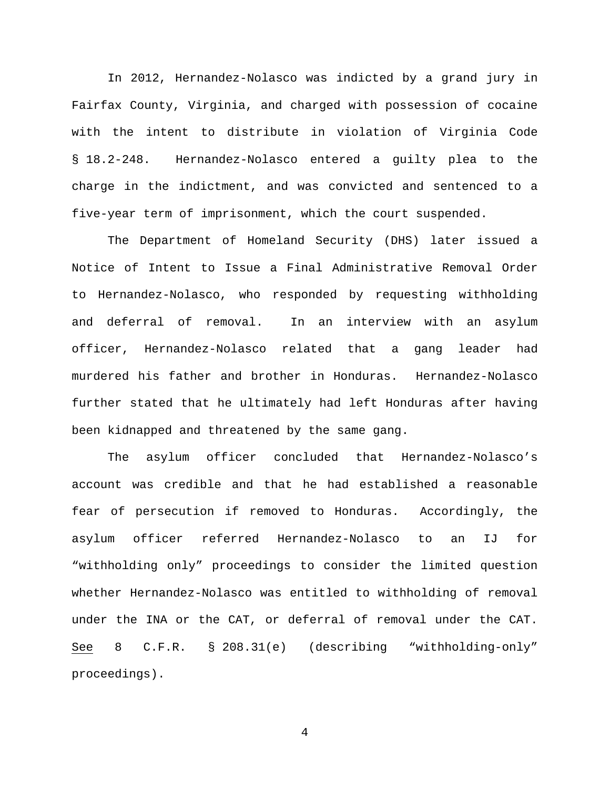In 2012, Hernandez-Nolasco was indicted by a grand jury in Fairfax County, Virginia, and charged with possession of cocaine with the intent to distribute in violation of Virginia Code § 18.2-248. Hernandez-Nolasco entered a guilty plea to the charge in the indictment, and was convicted and sentenced to a five-year term of imprisonment, which the court suspended.

The Department of Homeland Security (DHS) later issued a Notice of Intent to Issue a Final Administrative Removal Order to Hernandez-Nolasco, who responded by requesting withholding and deferral of removal. In an interview with an asylum officer, Hernandez-Nolasco related that a gang leader had murdered his father and brother in Honduras. Hernandez-Nolasco further stated that he ultimately had left Honduras after having been kidnapped and threatened by the same gang.

The asylum officer concluded that Hernandez-Nolasco's account was credible and that he had established a reasonable fear of persecution if removed to Honduras. Accordingly, the asylum officer referred Hernandez-Nolasco to an IJ for "withholding only" proceedings to consider the limited question whether Hernandez-Nolasco was entitled to withholding of removal under the INA or the CAT, or deferral of removal under the CAT. See 8 C.F.R. § 208.31(e) (describing "withholding-only" proceedings).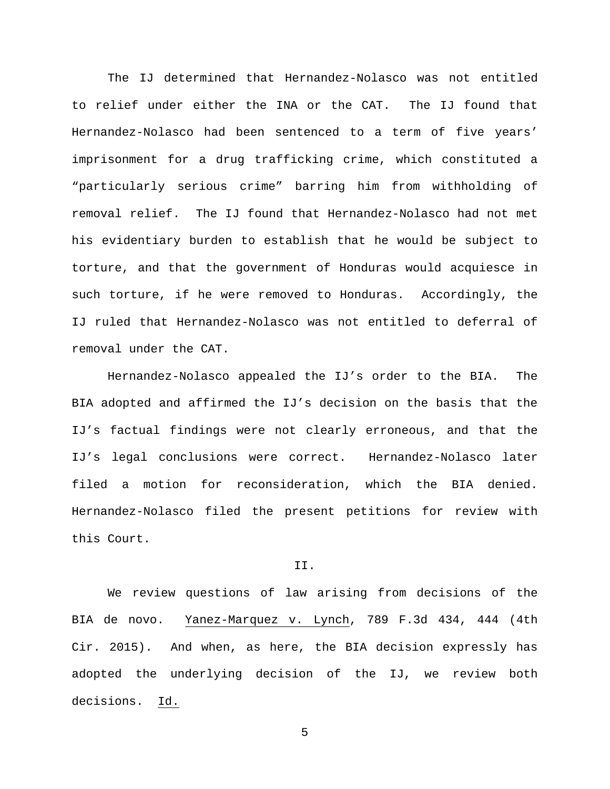The IJ determined that Hernandez-Nolasco was not entitled to relief under either the INA or the CAT. The IJ found that Hernandez-Nolasco had been sentenced to a term of five years' imprisonment for a drug trafficking crime, which constituted a "particularly serious crime" barring him from withholding of removal relief. The IJ found that Hernandez-Nolasco had not met his evidentiary burden to establish that he would be subject to torture, and that the government of Honduras would acquiesce in such torture, if he were removed to Honduras. Accordingly, the IJ ruled that Hernandez-Nolasco was not entitled to deferral of removal under the CAT.

Hernandez-Nolasco appealed the IJ's order to the BIA. The BIA adopted and affirmed the IJ's decision on the basis that the IJ's factual findings were not clearly erroneous, and that the IJ's legal conclusions were correct. Hernandez-Nolasco later filed a motion for reconsideration, which the BIA denied. Hernandez-Nolasco filed the present petitions for review with this Court.

#### II.

We review questions of law arising from decisions of the BIA de novo. Yanez-Marquez v. Lynch, 789 F.3d 434, 444 (4th Cir. 2015). And when, as here, the BIA decision expressly has adopted the underlying decision of the IJ, we review both decisions. Id.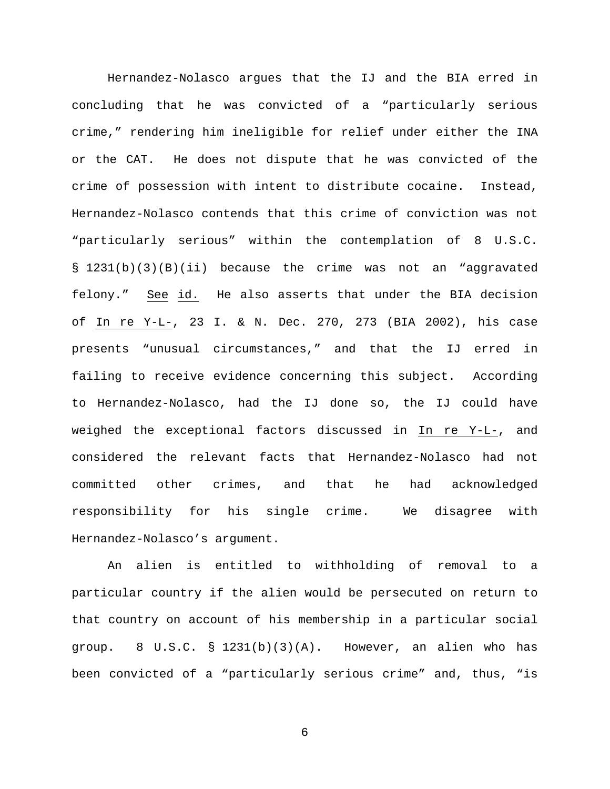Hernandez-Nolasco argues that the IJ and the BIA erred in concluding that he was convicted of a "particularly serious crime," rendering him ineligible for relief under either the INA or the CAT. He does not dispute that he was convicted of the crime of possession with intent to distribute cocaine. Instead, Hernandez-Nolasco contends that this crime of conviction was not "particularly serious" within the contemplation of 8 U.S.C. § 1231(b)(3)(B)(ii) because the crime was not an "aggravated felony." See id. He also asserts that under the BIA decision of In re Y-L-, 23 I. & N. Dec. 270, 273 (BIA 2002), his case presents "unusual circumstances," and that the IJ erred in failing to receive evidence concerning this subject. According to Hernandez-Nolasco, had the IJ done so, the IJ could have weighed the exceptional factors discussed in In re Y-L-, and considered the relevant facts that Hernandez-Nolasco had not committed other crimes, and that he had acknowledged responsibility for his single crime.We disagree with Hernandez-Nolasco's argument.

An alien is entitled to withholding of removal to a particular country if the alien would be persecuted on return to that country on account of his membership in a particular social group.  $8 \text{ U.S.C. } § 1231(b)(3)(A)$ . However, an alien who has been convicted of a "particularly serious crime" and, thus, "is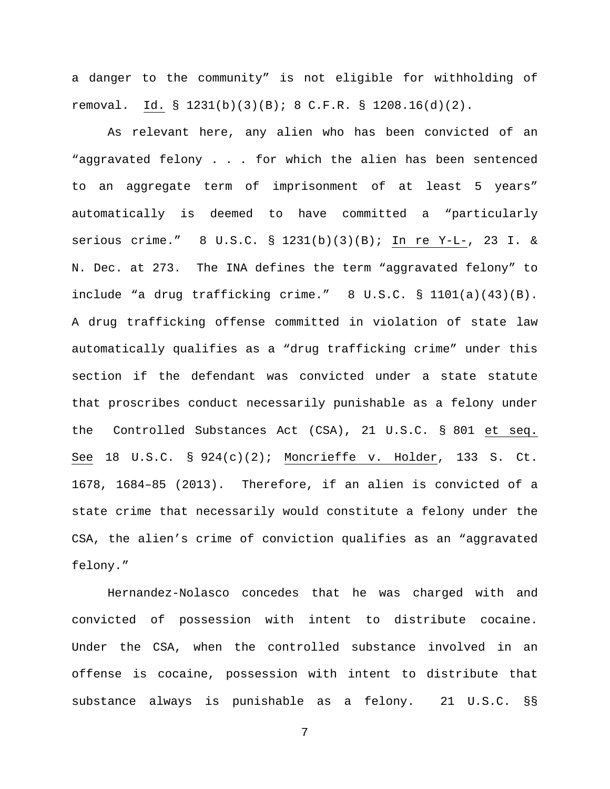a danger to the community" is not eligible for withholding of removal. Id. § 1231(b)(3)(B); 8 C.F.R. § 1208.16(d)(2).

As relevant here, any alien who has been convicted of an "aggravated felony . . . for which the alien has been sentenced to an aggregate term of imprisonment of at least 5 years" automatically is deemed to have committed a "particularly serious crime." 8 U.S.C. § 1231(b)(3)(B); In re Y-L-, 23 I. & N. Dec. at 273. The INA defines the term "aggravated felony" to include "a drug trafficking crime." 8 U.S.C. § 1101(a)(43)(B). A drug trafficking offense committed in violation of state law automatically qualifies as a "drug trafficking crime" under this section if the defendant was convicted under a state statute that proscribes conduct necessarily punishable as a felony under the Controlled Substances Act (CSA), 21 U.S.C. § 801 et seq. See 18 U.S.C. § 924(c)(2); Moncrieffe v. Holder, 133 S. Ct. 1678, 1684–85 (2013). Therefore, if an alien is convicted of a state crime that necessarily would constitute a felony under the CSA, the alien's crime of conviction qualifies as an "aggravated felony."

Hernandez-Nolasco concedes that he was charged with and convicted of possession with intent to distribute cocaine. Under the CSA, when the controlled substance involved in an offense is cocaine, possession with intent to distribute that substance always is punishable as a felony. 21 U.S.C. §§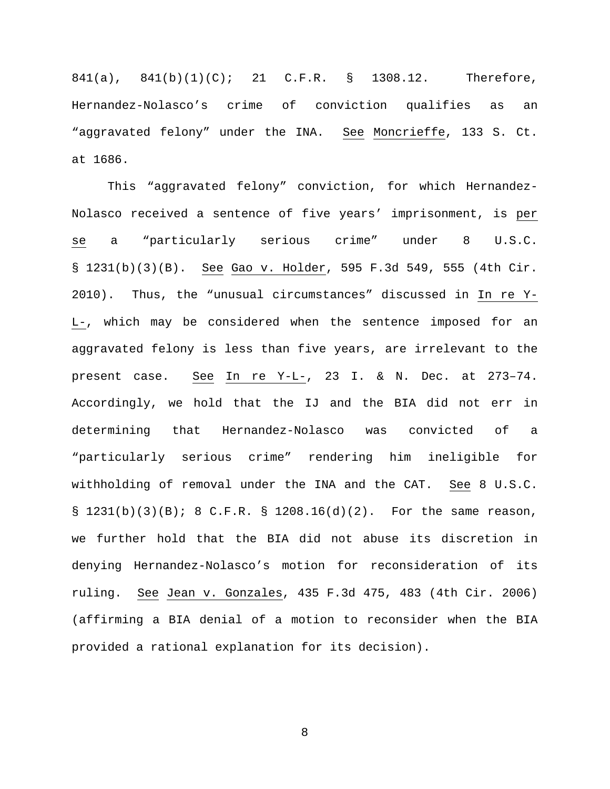841(a), 841(b)(1)(C); 21 C.F.R. § 1308.12. Therefore, Hernandez-Nolasco's crime of conviction qualifies as an "aggravated felony" under the INA. See Moncrieffe, 133 S. Ct. at 1686.

This "aggravated felony" conviction, for which Hernandez-Nolasco received a sentence of five years' imprisonment, is per se a "particularly serious crime" under 8 U.S.C. § 1231(b)(3)(B). See Gao v. Holder, 595 F.3d 549, 555 (4th Cir. 2010). Thus, the "unusual circumstances" discussed in In re Y-L-, which may be considered when the sentence imposed for an aggravated felony is less than five years, are irrelevant to the present case. See In re Y-L-, 23 I. & N. Dec. at 273–74. Accordingly, we hold that the IJ and the BIA did not err in determining that Hernandez-Nolasco was convicted of a "particularly serious crime" rendering him ineligible for withholding of removal under the INA and the CAT. See 8 U.S.C.  $\S$  1231(b)(3)(B); 8 C.F.R.  $\S$  1208.16(d)(2). For the same reason, we further hold that the BIA did not abuse its discretion in denying Hernandez-Nolasco's motion for reconsideration of its ruling. See Jean v. Gonzales, 435 F.3d 475, 483 (4th Cir. 2006) (affirming a BIA denial of a motion to reconsider when the BIA provided a rational explanation for its decision).